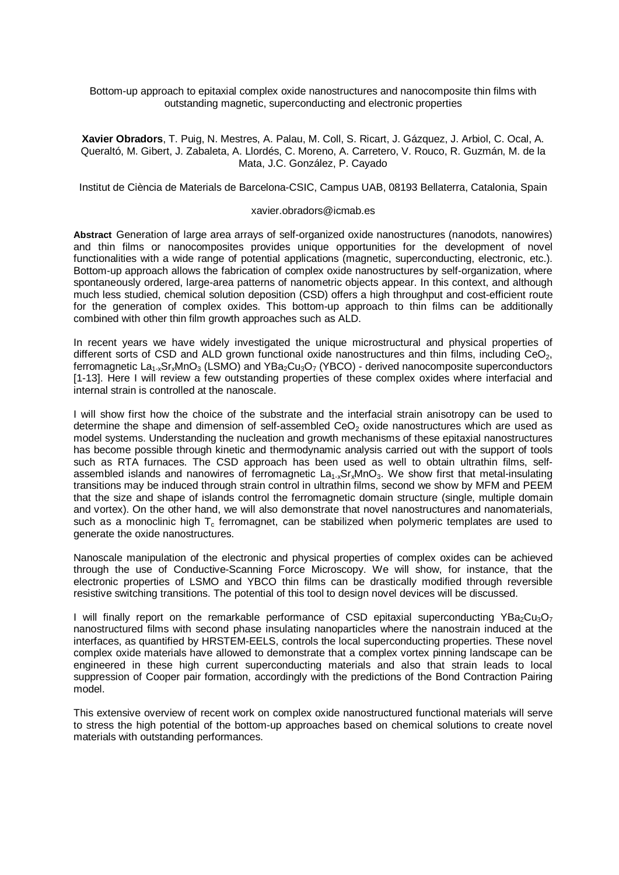Bottom-up approach to epitaxial complex oxide nanostructures and nanocomposite thin films with outstanding magnetic, superconducting and electronic properties

**Xavier Obradors**, T. Puig, N. Mestres, A. Palau, M. Coll, S. Ricart, J. Gázquez, J. Arbiol, C. Ocal, A. Queraltó, M. Gibert, J. Zabaleta, A. Llordés, C. Moreno, A. Carretero, V. Rouco, R. Guzmán, M. de la Mata, J.C. González, P. Cayado

Institut de Ciència de Materials de Barcelona-CSIC, Campus UAB, 08193 Bellaterra, Catalonia, Spain

## xavier.obradors@icmab.es

**Abstract** Generation of large area arrays of self-organized oxide nanostructures (nanodots, nanowires) and thin films or nanocomposites provides unique opportunities for the development of novel functionalities with a wide range of potential applications (magnetic, superconducting, electronic, etc.). Bottom-up approach allows the fabrication of complex oxide nanostructures by self-organization, where spontaneously ordered, large-area patterns of nanometric objects appear. In this context, and although much less studied, chemical solution deposition (CSD) offers a high throughput and cost-efficient route for the generation of complex oxides. This bottom-up approach to thin films can be additionally combined with other thin film growth approaches such as ALD.

In recent years we have widely investigated the unique microstructural and physical properties of different sorts of CSD and ALD grown functional oxide nanostructures and thin films, including  $CeO<sub>2</sub>$ , ferromagnetic  $La_{1-x}Sr_xMnO_3$  (LSMO) and YBa<sub>2</sub>Cu<sub>3</sub>O<sub>7</sub> (YBCO) - derived nanocomposite superconductors [1-13]. Here I will review a few outstanding properties of these complex oxides where interfacial and internal strain is controlled at the nanoscale.

I will show first how the choice of the substrate and the interfacial strain anisotropy can be used to determine the shape and dimension of self-assembled  $CeO<sub>2</sub>$  oxide nanostructures which are used as model systems. Understanding the nucleation and growth mechanisms of these epitaxial nanostructures has become possible through kinetic and thermodynamic analysis carried out with the support of tools such as RTA furnaces. The CSD approach has been used as well to obtain ultrathin films, selfassembled islands and nanowires of ferromagnetic  $La<sub>1-x</sub>Sr<sub>x</sub>MnO<sub>3</sub>$ . We show first that metal-insulating transitions may be induced through strain control in ultrathin films, second we show by MFM and PEEM that the size and shape of islands control the ferromagnetic domain structure (single, multiple domain and vortex). On the other hand, we will also demonstrate that novel nanostructures and nanomaterials, such as a monoclinic high  $T_c$  ferromagnet, can be stabilized when polymeric templates are used to generate the oxide nanostructures.

Nanoscale manipulation of the electronic and physical properties of complex oxides can be achieved through the use of Conductive-Scanning Force Microscopy. We will show, for instance, that the electronic properties of LSMO and YBCO thin films can be drastically modified through reversible resistive switching transitions. The potential of this tool to design novel devices will be discussed.

I will finally report on the remarkable performance of CSD epitaxial superconducting  $YBa_2Cu_3O_7$ nanostructured films with second phase insulating nanoparticles where the nanostrain induced at the interfaces, as quantified by HRSTEM-EELS, controls the local superconducting properties. These novel complex oxide materials have allowed to demonstrate that a complex vortex pinning landscape can be engineered in these high current superconducting materials and also that strain leads to local suppression of Cooper pair formation, accordingly with the predictions of the Bond Contraction Pairing model.

This extensive overview of recent work on complex oxide nanostructured functional materials will serve to stress the high potential of the bottom-up approaches based on chemical solutions to create novel materials with outstanding performances.